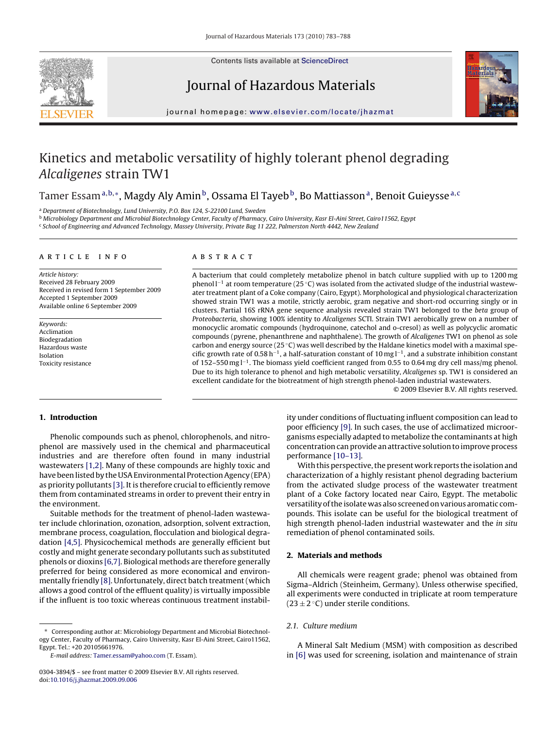

Contents lists available at [ScienceDirect](http://www.sciencedirect.com/science/journal/03043894)

# Journal of Hazardous Materials



journal homepage: [www.elsevier.com/locate/jhazmat](http://www.elsevier.com/locate/jhazmat)

# Kinetics and metabolic versatility of highly tolerant phenol degrading Alcaligenes strain TW1

Tamer Essam<sup>a,b,∗</sup>, Magdy Aly Amin<sup>b</sup>, Ossama El Tayeb<sup>b</sup>, Bo Mattiasson<sup>a</sup>, Benoit Guieysse<sup>a, c</sup>

<sup>a</sup> Department of Biotechnology, Lund University, P.O. Box 124, S-22100 Lund, Sweden

**b Microbiology Department and Microbial Biotechnology Center, Faculty of Pharmacy, Cairo University, Kasr El-Aini Street, Cairo11562, Egypt** 

<sup>c</sup> School of Engineering and Advanced Technology, Massey University, Private Bag 11 222, Palmerston North 4442, New Zealand

#### article info

Article history: Received 28 February 2009 Received in revised form 1 September 2009 Accepted 1 September 2009 Available online 6 September 2009

Keywords: Acclimation Biodegradation Hazardous waste Isolation Toxicity resistance

# ABSTRACT

A bacterium that could completely metabolize phenol in batch culture supplied with up to 1200 mg phenol l<sup>−1</sup> at room temperature (25 °C) was isolated from the activated sludge of the industrial wastewater treatment plant of a Coke company (Cairo, Egypt). Morphological and physiological characterization showed strain TW1 was a motile, strictly aerobic, gram negative and short-rod occurring singly or in clusters. Partial 16S rRNA gene sequence analysis revealed strain TW1 belonged to the beta group of Proteobacteria, showing 100% identity to Alcaligenes SCTI. Strain TW1 aerobically grew on a number of monocyclic aromatic compounds (hydroquinone, catechol and o-cresol) as well as polycyclic aromatic compounds (pyrene, phenanthrene and naphthalene). The growth of Alcaligenes TW1 on phenol as sole carbon and energy source (25 ◦C) was well described by the Haldane kinetics model with a maximal specific growth rate of 0.58 h<sup>−1</sup>, a half-saturation constant of 10 mg l<sup>−1</sup>, and a substrate inhibition constant of 152–550 mg l−1. The biomass yield coefficient ranged from 0.55 to 0.64 mg dry cell mass/mg phenol. Due to its high tolerance to phenol and high metabolic versatility, Alcaligenes sp. TW1 is considered an excellent candidate for the biotreatment of high strength phenol-laden industrial wastewaters.

© 2009 Elsevier B.V. All rights reserved.

# **1. Introduction**

Phenolic compounds such as phenol, chlorophenols, and nitrophenol are massively used in the chemical and pharmaceutical industries and are therefore often found in many industrial wastewaters [\[1,2\]. M](#page-4-0)any of these compounds are highly toxic and have been listed by the USA Environmental Protection Agency (EPA) as priority pollutants [\[3\]. I](#page-4-0)t is therefore crucial to efficiently remove them from contaminated streams in order to prevent their entry in the environment.

Suitable methods for the treatment of phenol-laden wastewater include chlorination, ozonation, adsorption, solvent extraction, membrane process, coagulation, flocculation and biological degradation [\[4,5\].](#page-4-0) Physicochemical methods are generally efficient but costly and might generate secondary pollutants such as substituted phenols or dioxins [\[6,7\]. B](#page-4-0)iological methods are therefore generally preferred for being considered as more economical and environmentally friendly [\[8\]. U](#page-4-0)nfortunately, direct batch treatment (which allows a good control of the effluent quality) is virtually impossible if the influent is too toxic whereas continuous treatment instability under conditions of fluctuating influent composition can lead to poor efficiency [\[9\]. I](#page-4-0)n such cases, the use of acclimatized microorganisms especially adapted to metabolize the contaminants at high concentration can provide an attractive solution to improve process performance [\[10–13\].](#page-4-0)

With this perspective, the present work reports the isolation and characterization of a highly resistant phenol degrading bacterium from the activated sludge process of the wastewater treatment plant of a Coke factory located near Cairo, Egypt. The metabolic versatility of the isolate was also screened on various aromatic compounds. This isolate can be useful for the biological treatment of high strength phenol-laden industrial wastewater and the in situ remediation of phenol contaminated soils.

## **2. Materials and methods**

All chemicals were reagent grade; phenol was obtained from Sigma–Aldrich (Steinheim, Germany). Unless otherwise specified, all experiments were conducted in triplicate at room temperature  $(23 \pm 2 \degree C)$  under sterile conditions.

# 2.1. Culture medium

A Mineral Salt Medium (MSM) with composition as described in [\[6\]](#page-4-0) was used for screening, isolation and maintenance of strain

Corresponding author at: Microbiology Department and Microbial Biotechnology Center, Faculty of Pharmacy, Cairo University, Kasr El-Aini Street, Cairo11562, Egypt. Tel.: +20 20105661976.

E-mail address: [Tamer.essam@yahoo.com](mailto:Tamer.essam@yahoo.com) (T. Essam).

<sup>0304-3894/\$ –</sup> see front matter © 2009 Elsevier B.V. All rights reserved. doi:[10.1016/j.jhazmat.2009.09.006](dx.doi.org/10.1016/j.jhazmat.2009.09.006)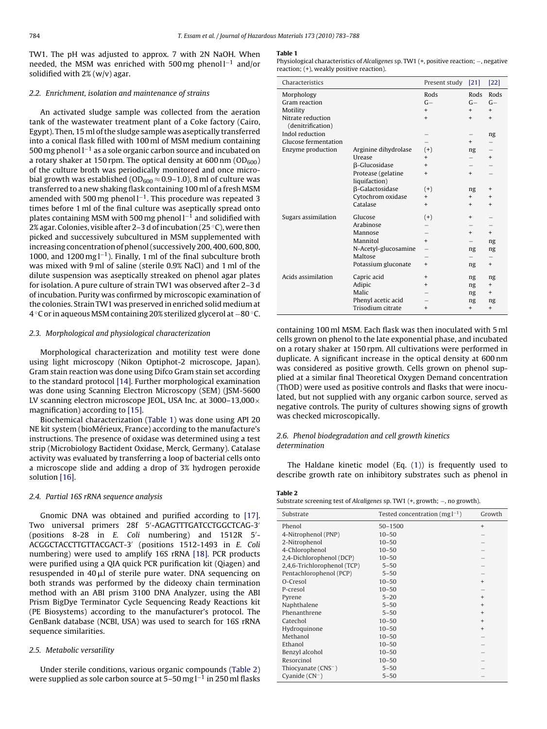<span id="page-1-0"></span>TW1. The pH was adjusted to approx. 7 with 2N NaOH. When needed, the MSM was enriched with 500 mg phenol l<sup>−1</sup> and/or solidified with 2% (w/v) agar.

# 2.2. Enrichment, isolation and maintenance of strains

An activated sludge sample was collected from the aeration tank of the wastewater treatment plant of a Coke factory (Cairo, Egypt). Then, 15 ml of the sludge sample was aseptically transferred into a conical flask filled with 100 ml of MSM medium containing 500 mg phenol l−<sup>1</sup> as a sole organic carbon source and incubated on a rotary shaker at 150 rpm. The optical density at  $600 \text{ nm}$  ( $OD_{600}$ ) of the culture broth was periodically monitored and once microbial growth was established ( $OD_{600} \approx 0.9$ –1.0), 8 ml of culture was transferred to a new shaking flask containing 100 ml of a fresh MSM amended with 500 mg phenol  $l^{-1}$ . This procedure was repeated 3 times before 1 ml of the final culture was aseptically spread onto plates containing MSM with 500 mg phenol  $l^{-1}$  and solidified with 2% agar. Colonies, visible after 2–3 d of incubation (25 ◦C), were then picked and successively subcultured in MSM supplemented with increasing concentration of phenol (successively 200, 400, 600, 800, 1000, and 1200 mg l−1). Finally, 1 ml of the final subculture broth was mixed with 9 ml of saline (sterile 0.9% NaCl) and 1 ml of the dilute suspension was aseptically streaked on phenol agar plates for isolation. A pure culture of strain TW1 was observed after 2–3 d of incubation. Purity was confirmed by microscopic examination of the colonies. Strain TW1 was preserved in enriched solid medium at 4 ◦C or in aqueous MSM containing 20% sterilized glycerol at −80 ◦C.

## 2.3. Morphological and physiological characterization

Morphological characterization and motility test were done using light microscopy (Nikon Optiphot-2 microscope, Japan). Gram stain reaction was done using Difco Gram stain set according to the standard protocol [\[14\]. F](#page-4-0)urther morphological examination was done using Scanning Electron Microscopy (SEM) (JSM-5600 LV scanning electron microscope JEOL, USA Inc. at  $3000-13,000 \times$ magnification) according to [\[15\].](#page-4-0)

Biochemical characterization (Table 1) was done using API 20 NE kit system (bioMérieux, France) according to the manufacture's instructions. The presence of oxidase was determined using a test strip (Microbiology Bactident Oxidase, Merck, Germany). Catalase activity was evaluated by transferring a loop of bacterial cells onto a microscope slide and adding a drop of 3% hydrogen peroxide solution [\[16\].](#page-4-0)

## 2.4. Partial 16S rRNA sequence analysis

Gnomic DNA was obtained and purified according to [\[17\].](#page-4-0) Two universal primers 28f 5 -AGAGTTTGATCCTGGCTCAG-3 (positions 8-28 in E. Coli numbering) and 1512R 5 - ACGGCTACCTTGTTACGACT-3 (positions 1512-1493 in E. Coli numbering) were used to amplify 16S rRNA [\[18\].](#page-4-0) PCR products were purified using a QIA quick PCR purification kit (Qiagen) and resuspended in 40 $\upmu$ l of sterile pure water. DNA sequencing on both strands was performed by the dideoxy chain termination method with an ABI prism 3100 DNA Analyzer, using the ABI Prism BigDye Terminator Cycle Sequencing Ready Reactions kit (PE Biosystems) according to the manufacturer's protocol. The GenBank database (NCBI, USA) was used to search for 16S rRNA sequence similarities.

# 2.5. Metabolic versatility

Under sterile conditions, various organic compounds (Table 2) were supplied as sole carbon source at  $5-50$  mg l<sup>-1</sup> in 250 ml flasks

#### **Table 1**

Physiological characteristics of Alcaligenes sp. TW1 (+, positive reaction; −, negative reaction; (+), weakly positive reaction).

| Characteristics                        |                      | Present study  | [21]      | [22]      |
|----------------------------------------|----------------------|----------------|-----------|-----------|
| Morphology                             |                      | Rods           | Rods      | Rods      |
| Gram reaction                          |                      | $G -$          | $G-$      | $G -$     |
| Motility                               |                      | $+$            | $+$       | $+$       |
| Nitrate reduction<br>(denitrification) |                      | $\ddot{}$      | $+$       | $\ddot{}$ |
| Indol reduction                        |                      |                |           | ng        |
| Glucose fermentation                   |                      |                | $+$       |           |
| Enzyme production                      | Arginine dihydrolase | $(+)$          | ng        |           |
|                                        | Urease               | $\overline{+}$ |           | $^{+}$    |
|                                        | β-Glucosidase        | $\ddot{}$      |           |           |
|                                        | Protease (gelatine   | $\ddot{}$      | $+$       |           |
|                                        | liquifaction)        |                |           |           |
|                                        | β-Galactosidase      | $(+)$          | ng        | $\ddot{}$ |
|                                        | Cytochrom oxidase    | $^{+}$         | $+$       | $\ddot{}$ |
|                                        | Catalase             | $+$            | $+$       | $\ddot{}$ |
| Sugars assimilation                    | Glucose              | $(+)$          | $\ddot{}$ |           |
|                                        | Arabinose            |                |           |           |
|                                        | Mannose              |                | $+$       | $+$       |
|                                        | Mannitol             | $+$            |           | ng        |
|                                        | N-Acetyl-glucosamine |                | ng        | ng        |
|                                        | Maltose              |                |           |           |
|                                        | Potassium gluconate  | $+$            | ng        | $+$       |
| Acids assimilation                     | Capric acid          | $\ddot{}$      | ng        | ng        |
|                                        | Adipic               | $\ddot{}$      | ng        | $+$       |
|                                        | Malic                |                | ng        | $^{+}$    |
|                                        | Phenyl acetic acid   |                | ng        | ng        |
|                                        | Trisodium citrate    | $\ddot{}$      | $+$       | $\ddot{}$ |

containing 100 ml MSM. Each flask was then inoculated with 5 ml cells grown on phenol to the late exponential phase, and incubated on a rotary shaker at 150 rpm. All cultivations were performed in duplicate. A significant increase in the optical density at 600 nm was considered as positive growth. Cells grown on phenol supplied at a similar final Theoretical Oxygen Demand concentration (ThOD) were used as positive controls and flasks that were inoculated, but not supplied with any organic carbon source, served as negative controls. The purity of cultures showing signs of growth was checked microscopically.

## 2.6. Phenol biodegradation and cell growth kinetics determination

The Haldane kinetic model (Eq. [\(1\)\)](#page-2-0) is frequently used to describe growth rate on inhibitory substrates such as phenol in

| Table 2                                                                         |
|---------------------------------------------------------------------------------|
| Substrate screening test of Alcaligenes sp. TW1 $(+,$ growth; $-$ , no growth). |

| Substrate                   | Tested concentration (mg $l^{-1}$ ) | Growth    |
|-----------------------------|-------------------------------------|-----------|
| Phenol                      | 50-1500                             | $\ddot{}$ |
| 4-Nitrophenol (PNP)         | $10 - 50$                           |           |
| 2-Nitrophenol               | $10 - 50$                           |           |
| 4-Chlorophenol              | $10 - 50$                           |           |
| 2,4-Dichlorophenol (DCP)    | $10 - 50$                           |           |
| 2,4,6-Trichlorophenol (TCP) | $5 - 50$                            |           |
| Pentachlorophenol (PCP)     | $5 - 50$                            |           |
| O-Cresol                    | $10 - 50$                           |           |
| P-cresol                    | $10 - 50$                           |           |
| Pyrene                      | $5 - 20$                            | $\ddot{}$ |
| Naphthalene                 | $5 - 50$                            | $\ddot{}$ |
| Phenanthrene                | $5 - 50$                            | $\ddot{}$ |
| Catechol                    | $10 - 50$                           | $\ddot{}$ |
| Hydroquinone                | $10 - 50$                           | $\ddot{}$ |
| Methanol                    | $10 - 50$                           |           |
| Ethanol                     | $10 - 50$                           |           |
| Benzyl alcohol              | $10 - 50$                           |           |
| Resorcinol                  | $10 - 50$                           |           |
| Thiocyanate $(CNS^-)$       | $5 - 50$                            |           |
| Cyanide $(CN^{-})$          | $5 - 50$                            |           |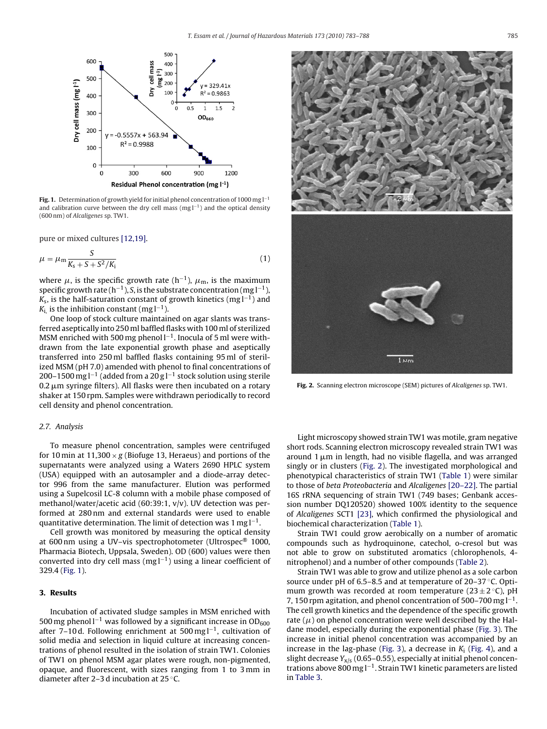<span id="page-2-0"></span>

**Fig. 1.** Determination of growth yield for initial phenol concentration of 1000 mg l−<sup>1</sup> and calibration curve between the dry cell mass (mg l<sup>−1</sup>) and the optical density (600 nm) of Alcaligenes sp. TW1.

pure or mixed cultures [\[12,19\].](#page-4-0)

$$
\mu = \mu_{\rm m} \frac{S}{K_{\rm s} + S + S^2/K_{\rm i}} \tag{1}
$$

where  $\mu$ , is the specific growth rate (h<sup>-1</sup>),  $\mu_{\rm m}$ , is the maximum specific growth rate (h<sup>-1</sup>), S, is the substrate concentration (mg  $l^{-1}$ ),  $K<sub>s</sub>$ , is the half-saturation constant of growth kinetics (mg  $l^{-1}$ ) and  $K_i$  is the inhibition constant (mg l<sup>-1</sup>).

One loop of stock culture maintained on agar slants was transferred aseptically into 250 ml baffled flasks with 100 ml of sterilized MSM enriched with 500 mg phenol l<sup>−1</sup>. Inocula of 5 ml were withdrawn from the late exponential growth phase and aseptically transferred into 250 ml baffled flasks containing 95 ml of sterilized MSM (pH 7.0) amended with phenol to final concentrations of 200–1500 mg l<sup>-1</sup> (added from a 20 g l<sup>-1</sup> stock solution using sterile 0.2  $\mu$ m syringe filters). All flasks were then incubated on a rotary shaker at 150 rpm. Samples were withdrawn periodically to record cell density and phenol concentration.

# 2.7. Analysis

To measure phenol concentration, samples were centrifuged for 10 min at 11,300  $\times$  g (Biofuge 13, Heraeus) and portions of the supernatants were analyzed using a Waters 2690 HPLC system (USA) equipped with an autosampler and a diode-array detector 996 from the same manufacturer. Elution was performed using a Supelcosil LC-8 column with a mobile phase composed of methanol/water/acetic acid (60:39:1, v/v). UV detection was performed at 280 nm and external standards were used to enable quantitative determination. The limit of detection was 1 mg  $l^{-1}$ .

Cell growth was monitored by measuring the optical density at 600 nm using a UV–vis spectrophotometer (Ultrospec® 1000, Pharmacia Biotech, Uppsala, Sweden). OD (600) values were then converted into dry cell mass (mg l−1) using a linear coefficient of 329.4 (Fig. 1).

#### **3. Results**

Incubation of activated sludge samples in MSM enriched with 500 mg phenol l<sup>−1</sup> was followed by a significant increase in OD<sub>600</sub> after 7–10 d. Following enrichment at 500 mg  $l^{-1}$ , cultivation of solid media and selection in liquid culture at increasing concentrations of phenol resulted in the isolation of strain TW1. Colonies of TW1 on phenol MSM agar plates were rough, non-pigmented, opaque, and fluorescent, with sizes ranging from 1 to 3 mm in diameter after 2–3 d incubation at 25 ◦C.



**Fig. 2.** Scanning electron microscope (SEM) pictures of Alcaligenes sp. TW1.

Light microscopy showed strain TW1 was motile, gram negative short rods. Scanning electron microscopy revealed strain TW1 was around 1  $\mu$ m in length, had no visible flagella, and was arranged singly or in clusters (Fig. 2). The investigated morphological and phenotypical characteristics of strain TW1 [\(Table 1\)](#page-1-0) were similar to those of beta Proteobacteria and Alcaligenes [\[20–22\]. T](#page-4-0)he partial 16S rRNA sequencing of strain TW1 (749 bases; Genbank accession number DQ120520) showed 100% identity to the sequence of Alcaligenes SCT1 [\[23\],](#page-4-0) which confirmed the physiological and biochemical characterization ([Table 1\).](#page-1-0)

Strain TW1 could grow aerobically on a number of aromatic compounds such as hydroquinone, catechol, o-cresol but was not able to grow on substituted aromatics (chlorophenols, 4 nitrophenol) and a number of other compounds ([Table 2\).](#page-1-0)

Strain TW1 was able to grow and utilize phenol as a sole carbon source under pH of 6.5–8.5 and at temperature of 20–37 °C. Optimum growth was recorded at room temperature (23  $\pm$  2 °C), pH 7, 150 rpm agitation, and phenol concentration of 500–700 mg l−1. The cell growth kinetics and the dependence of the specific growth rate ( $\mu$ ) on phenol concentration were well described by the Haldane model, especially during the exponential phase ([Fig. 3\).](#page-3-0) The increase in initial phenol concentration was accompanied by an increase in the lag-phase [\(Fig. 3\),](#page-3-0) a decrease in  $K_i$  [\(Fig. 4\),](#page-4-0) and a slight decrease  $Y_{x/s}$  (0.65-0.55), especially at initial phenol concentrations above 800 mg l−1. Strain TW1 kinetic parameters are listed in [Table 3.](#page-3-0)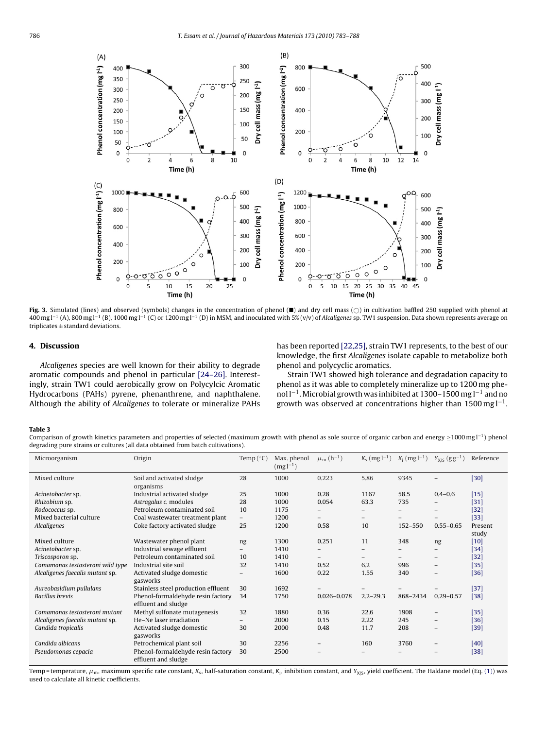<span id="page-3-0"></span>

**Fig. 3.** Simulated (lines) and observed (symbols) changes in the concentration of phenol ( $\blacksquare$ ) and dry cell mass ( $\bigcirc$ ) in cultivation baffled 250 supplied with phenol at 400 mg l<sup>-1</sup> (A), 800 mg l<sup>-1</sup> (B), 1000 mg l<sup>-1</sup> (C) or 1200 mg l<sup>-1</sup> (D) in MSM, and inoculated with 5% (v/v) of Alcaligenes sp. TW1 suspension. Data shown represents average on triplicates  $\pm$  standard deviations.

# **4. Discussion**

Alcaligenes species are well known for their ability to degrade aromatic compounds and phenol in particular [\[24–26\].](#page-4-0) Interestingly, strain TW1 could aerobically grow on Polycylcic Aromatic Hydrocarbons (PAHs) pyrene, phenanthrene, and naphthalene. Although the ability of Alcaligenes to tolerate or mineralize PAHs

has been reported [\[22,25\], s](#page-4-0)train TW1 represents, to the best of our knowledge, the first Alcaligenes isolate capable to metabolize both phenol and polycyclic aromatics.

Strain TW1 showed high tolerance and degradation capacity to phenol as it was able to completely mineralize up to 1200 mg phenol l<sup>-1</sup>. Microbial growth was inhibited at 1300–1500 mg l<sup>-1</sup> and no growth was observed at concentrations higher than 1500 mg  $l^{-1}$ .

#### **Table 3**

Comparison of growth kinetics parameters and properties of selected (maximum growth with phenol as sole source of organic carbon and energy ≥1000 mg l<sup>-1</sup>) phenol degrading pure strains or cultures (all data obtained from batch cultivations).

| Microorganism                    | Origin                                                   | Temp $(^{\circ}C)$       | Max. phenol<br>$(mg1^{-1})$ | $\mu_{m}$ (h <sup>-1</sup> ) | $K_s$ (mg $l^{-1}$ ) | $K_i$ (mg l <sup>-1</sup> ) | $Y_{X/S}$ $(gg^{-1})$    | Reference        |
|----------------------------------|----------------------------------------------------------|--------------------------|-----------------------------|------------------------------|----------------------|-----------------------------|--------------------------|------------------|
| Mixed culture                    | Soil and activated sludge<br>organisms                   | 28                       | 1000                        | 0.223                        | 5.86                 | 9345                        |                          | $[30]$           |
| Acinetobacter sp.                | Industrial activated sludge                              | 25                       | 1000                        | 0.28                         | 1167                 | 58.5                        | $0.4 - 0.6$              | $[15]$           |
| Rhizobium sp.                    | Astragalus c. modules                                    | 28                       | 1000                        | 0.054                        | 63.3                 | 735                         |                          | $[31]$           |
| Rodococcus sp.                   | Petroleum contaminated soil                              | 10                       | 1175                        |                              | $-$                  |                             |                          | $[32]$           |
| Mixed bacterial culture          | Coal wastewater treatment plant                          | $\overline{\phantom{0}}$ | 1200                        | $-$                          | $-$                  | $-$                         |                          | $[33]$           |
| Alcaligenes                      | Coke factory activated sludge                            | 25                       | 1200                        | 0.58                         | 10                   | 152-550                     | $0.55 - 0.65$            | Present<br>study |
| Mixed culture                    | Wastewater phenol plant                                  | ng                       | 1300                        | 0.251                        | 11                   | 348                         | ng                       | $[10]$           |
| Acinetobacter sp.                | Industrial sewage effluent                               | $\overline{\phantom{0}}$ | 1410                        |                              | $-$                  |                             |                          | $[34]$           |
| Triscosporon sp.                 | Petroleum contaminated soil                              | 10                       | 1410                        | $\overline{\phantom{0}}$     | $-$                  | $-$                         | $\overline{\phantom{a}}$ | $[32]$           |
| Comamonas testosteroni wild type | Industrial site soil                                     | 32                       | 1410                        | 0.52                         | 6.2                  | 996                         |                          | $[35]$           |
| Alcaligenes faecalis mutant sp.  | Activated sludge domestic<br>gasworks                    | $\overline{a}$           | 1600                        | 0.22                         | 1.55                 | 340                         |                          | $[36]$           |
| Aureobasidium pullulans          | Stainless steel production effluent                      | 30                       | 1692                        |                              |                      |                             |                          | $[37]$           |
| <b>Bacillus</b> brevis           | Phenol-formaldehyde resin factory<br>effluent and sludge | 34                       | 1750                        | $0.026 - 0.078$              | $2.2 - 29.3$         | 868-2434                    | $0.29 - 0.57$            | $[38]$           |
| Comamonas testosteroni mutant    | Methyl sulfonate mutagenesis                             | 32                       | 1880                        | 0.36                         | 22.6                 | 1908                        |                          | $[35]$           |
| Alcaligenes faecalis mutant sp.  | He-Ne laser irradiation                                  | -                        | 2000                        | 0.15                         | 2.22                 | 245                         |                          | $[36]$           |
| Candida tropicalis               | Activated sludge domestic<br>gasworks                    | 30                       | 2000                        | 0.48                         | 11.7                 | 208                         |                          | $[39]$           |
| Candida albicans                 | Petrochemical plant soil                                 | 30                       | 2256                        |                              | 160                  | 3760                        |                          | [40]             |
| Pseudomonas cepacia              | Phenol-formaldehyde resin factory<br>effluent and sludge | 30                       | 2500                        |                              |                      |                             |                          | $[38]$           |

Temp=temperature,  $\mu_{\rm m}$ , maximum specific rate constant,  $K_{\rm s}$ , half-saturation constant,  $K_{\rm i}$ , inhibition constant, and  $Y_{\rm NS}$ , yield coefficient. The Haldane model (Eq. [\(1\)\) w](#page-2-0)as used to calculate all kinetic coefficients.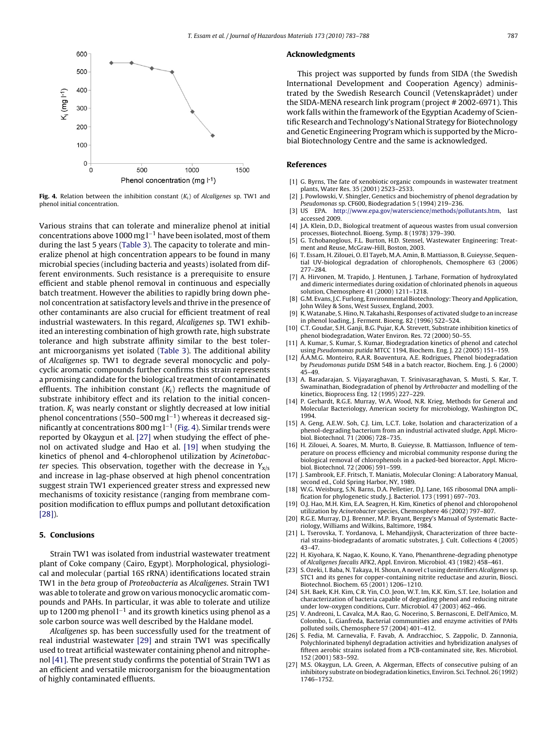<span id="page-4-0"></span>

**Fig. 4.** Relation between the inhibition constant  $(K_i)$  of Alcaligenes sp. TW1 and phenol initial concentration.

Various strains that can tolerate and mineralize phenol at initial concentrations above 1000 mg  $l^{-1}$  have been isolated, most of them during the last 5 years ([Table 3\).](#page-3-0) The capacity to tolerate and mineralize phenol at high concentration appears to be found in many microbial species (including bacteria and yeasts) isolated from different environments. Such resistance is a prerequisite to ensure efficient and stable phenol removal in continuous and especially batch treatment. However the abilities to rapidly bring down phenol concentration at satisfactory levels and thrive in the presence of other contaminants are also crucial for efficient treatment of real industrial wastewaters. In this regard, Alcaligenes sp. TW1 exhibited an interesting combination of high growth rate, high substrate tolerance and high substrate affinity similar to the best tolerant microorganisms yet isolated [\(Table 3\).](#page-3-0) The additional ability of Alcaligenes sp. TW1 to degrade several monocyclic and polycyclic aromatic compounds further confirms this strain represents a promising candidate for the biological treatment of contaminated effluents. The inhibition constant  $(K_i)$  reflects the magnitude of substrate inhibitory effect and its relation to the initial concentration.  $K_i$  was nearly constant or slightly decreased at low initial phenol concentrations (550–500 mg l<sup>-1</sup>) whereas it decreased significantly at concentrations 800 mg  $l^{-1}$  (Fig. 4). Similar trends were reported by Okaygun et al. [27] when studying the effect of phenol on activated sludge and Hao et al. [19] when studying the kinetics of phenol and 4-chlorophenol utilization by Acinetobacter species. This observation, together with the decrease in  $Y_{x/s}$ and increase in lag-phase observed at high phenol concentration suggest strain TW1 experienced greater stress and expressed new mechanisms of toxicity resistance (ranging from membrane composition modification to efflux pumps and pollutant detoxification [\[28\]\).](#page-5-0)

## **5. Conclusions**

Strain TW1 was isolated from industrial wastewater treatment plant of Coke company (Cairo, Egypt). Morphological, physiological and molecular (partial 16S rRNA) identifications located strain TW1 in the beta group of Proteobacteria as Alcaligenes. Strain TW1 was able to tolerate and grow on various monocyclic aromatic compounds and PAHs. In particular, it was able to tolerate and utilize up to 1200 mg phenol  $l^{-1}$  and its growth kinetics using phenol as a sole carbon source was well described by the Haldane model.

Alcaligenes sp. has been successfully used for the treatment of real industrial wastewater [\[29\]](#page-5-0) and strain TW1 was specifically used to treat artificial wastewater containing phenol and nitrophenol [\[41\]. T](#page-5-0)he present study confirms the potential of Strain TW1 as an efficient and versatile microorganism for the bioaugmentation of highly contaminated effluents.

#### **Acknowledgments**

This project was supported by funds from SIDA (the Swedish International Development and Cooperation Agency) administrated by the Swedish Research Council (Vetenskaprådet) under the SIDA-MENA research link program (project # 2002-6971). This work falls within the framework of the Egyptian Academy of Scientific Research and Technology's National Strategy for Biotechnology and Genetic Engineering Program which is supported by the Microbial Biotechnology Centre and the same is acknowledged.

#### **References**

- [1] G. Byrns, The fate of xenobiotic organic compounds in wastewater treatment plants, Water Res. 35 (2001) 2523–2533.
- [2] J. Powlowski, V. Shingler, Genetics and biochemistry of phenol degradation by Pseudomonas sp. CF600, Biodegradation 5 (1994) 219–236.
- [3] US EPA. <http://www.epa.gov/waterscience/methods/pollutants.htm>, last accessed 2009.
- [4] J.A. Klein, D.D., Biological treatment of aqueous wastes from usual conversion processes, Biotechnol. Bioeng. Symp. 8 (1978) 379–390.
- [5] G. Tchobanoglous, F.L. Burton, H.D. Stensel, Wastewater Engineering: Treatment and Reuse, McGraw-Hill, Boston, 2003.
- [6] T. Essam, H. Zilouei, O. El Tayeb, M.A. Amin, B. Mattiasson, B. Guieysse, Sequential UV-biological degradation of chlorophenols, Chemosphere 63 (2006) 277–284.
- [7] A. Hirvonen, M. Trapido, J. Hentunen, J. Tarhane, Formation of hydroxylated and dimeric intermediates during oxidation of chlorinated phenols in aqueous solution, Chemosphere 41 (2000) 1211–1218.
- [8] G.M. Evans, J.C. Furlong, Environmental Biotechnology: Theory and Application, John Wiley & Sons, West Sussex, England, 2003.
- [9] K.Watanabe, S. Hino, N. Takahashi, Responses of activated sludge to an increase in phenol loading, J. Ferment. Bioeng. 82 (1996) 522–524.
- [10] C.T. Goudar, S.H. Ganji, B.G. Pujar, K.A. Strevett, Substrate inhibition kinetics of phenol biodegradation, Water Environ. Res. 72 (2000) 50–55.
- [11] A. Kumar, S. Kumar, S. Kumar, Biodegradation kinetics of phenol and catechol using Pseudomonas putida MTCC 1194, Biochem. Eng. J. 22 (2005) 151–159.
- [12] Á.A.M.G. Monteiro, R.A.R. Boaventura, A.E. Rodrigues, Phenol biodegradation by Pseudomonas putida DSM 548 in a batch reactor, Biochem. Eng. J. 6 (2000) 45–49.
- [13] A. Baradarajan, S. Vijayaraghavan, T. Srinivasaraghavan, S. Musti, S. Kar, T. Swaminathan, Biodegradation of phenol by Arthrobacter and modelling of the kinetics, Bioprocess Eng. 12 (1995) 227–229.
- [14] P. Gerhardt, R.G.E. Murray, W.A. Wood, N.R. Krieg, Methods for General and Molecular Bacteriology, American society for microbiology, Washington DC, 1994.
- [15] A. Geng, A.E.W. Soh, C.J. Lim, L.C.T. Loke, Isolation and characterization of a phenol-degrading bacterium from an industrial activated sludge, Appl. Microbiol. Biotechnol. 71 (2006) 728–735.
- [16] H. Zilouei, A. Soares, M. Murto, B. Guieysse, B. Mattiasson, Influence of temperature on process efficiency and microbial community response during the biological removal of chlorophenols in a packed-bed bioreactor, Appl. Microbiol. Biotechnol. 72 (2006) 591–599.
- [17] J. Sambrook, E.F. Fritsch, T. Maniatis, Molecular Cloning: A Laboratory Manual, second ed., Cold Spring Harbor, NY, 1989.
- [18] W.G. Weisburg, S.N. Barns, D.A. Pelletier, D.J. Lane, 16S ribosomal DNA amplification for phylogenetic study, J. Bacteriol. 173 (1991) 697–703.
- [19] O.J. Hao, M.H. Kim, E.A. Seagren, H. Kim, Kinetics of phenol and chloropohenol utilization by Acinetobacter species, Chemosphere 46 (2002) 797–807.
- [20] R.G.E. Murray, D.J. Brenner, M.P. Bryant, Bergey's Manual of Systematic Bacteriology, Williams and Wilkins, Baltimore, 1984.
- [21] L. Tserovska, T. Yordanova, L. Mehandjiysk, Characterization of three bacterial strains-biodegradants of aromatic substrates, J. Cult. Collections 4 (2005) 43–47.
- [22] H. Kiyohara, K. Nagao, K. Kouno, K. Yano, Phenanthrene-degrading phenotype of Alcaligenes faecalis AFK2, Appl. Environ. Microbiol. 43 (1982) 458–461.
- [23] S. Ozeki, I. Baba, N. Takaya, H. Shoun, A novel c1using denitrifiers Alcaligenes sp. STC1 and its genes for copper-containing nitrite reductase and azurin, Biosci. Biotechnol. Biochem. 65 (2001) 1206–1210.
- [24] S.H. Baek, K.H. Kim, C.R. Yin, C.O. Jeon, W.T. Im, K.K. Kim, S.T. Lee, Isolation and characterization of bacteria capable of degrading phenol and reducing nitrate under low-oxygen conditions, Curr. Microbiol. 47 (2003) 462–466.
- [25] V. Andreoni, L. Cavalca, M.A. Rao, G. Nocerino, S. Bernasconi, E. Dell'Amico, M. Colombo, L. Gianfreda, Bacterial communities and enzyme activities of PAHs polluted soils, Chemosphere 57 (2004) 401–412.
- [26] S. Fedia, M. Carnevalia, F. Favab, A. Andracchioc, S. Zappolic, D. Zannonia, Polychlorinated biphenyl degradation activities and hybridization analyses of fifteen aerobic strains isolated from a PCB-contaminated site, Res. Microbiol. 152 (2001) 583–592.
- [27] M.S. Okaygun, L.A. Green, A. Akgerman, Effects of consecutive pulsing of an inhibitory substrate on biodegradation kinetics, Environ. Sci. Technol. 26 (1992) 1746–1752.